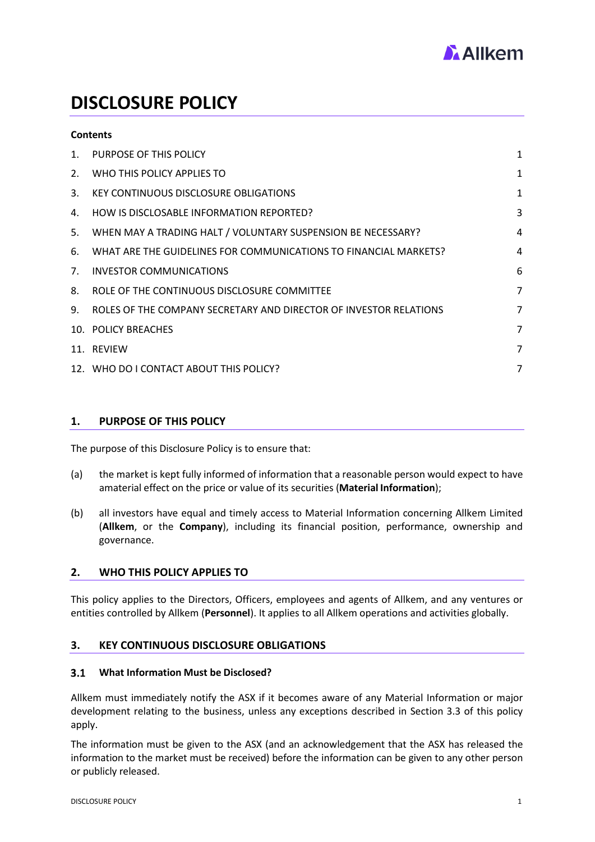

# **DISCLOSURE POLICY**

# **Contents**

| 1.             | PURPOSE OF THIS POLICY                                            | 1              |
|----------------|-------------------------------------------------------------------|----------------|
| 2.             | WHO THIS POLICY APPLIES TO                                        | 1              |
| 3.             | KEY CONTINUOUS DISCLOSURE OBLIGATIONS                             | 1              |
| 4.             | HOW IS DISCLOSABLE INFORMATION REPORTED?                          | 3              |
| 5.             | WHEN MAY A TRADING HALT / VOLUNTARY SUSPENSION BE NECESSARY?      | 4              |
| 6.             | WHAT ARE THE GUIDELINES FOR COMMUNICATIONS TO FINANCIAL MARKETS?  | 4              |
| 7 <sub>1</sub> | INVESTOR COMMUNICATIONS                                           | 6              |
| 8.             | ROLE OF THE CONTINUOUS DISCLOSURE COMMITTEE                       | 7              |
| 9.             | ROLES OF THE COMPANY SECRETARY AND DIRECTOR OF INVESTOR RELATIONS | $\overline{7}$ |
|                | 10. POLICY BREACHES                                               | 7              |
|                | 11. REVIEW                                                        | 7              |
|                | 12. WHO DO I CONTACT ABOUT THIS POLICY?                           | 7              |
|                |                                                                   |                |

### <span id="page-0-0"></span>**1. PURPOSE OF THIS POLICY**

The purpose of this Disclosure Policy is to ensure that:

- (a) the market is kept fully informed of information that a reasonable person would expect to have a material effect on the price or value of its securities (**Material Information**);
- (b) all investors have equal and timely access to Material Information concerning Allkem Limited (**Allkem**, or the **Company**), including its financial position, performance, ownership and governance.

# <span id="page-0-1"></span>**2. WHO THIS POLICY APPLIES TO**

This policy applies to the Directors, Officers, employees and agents of Allkem, and any ventures or entities controlled by Allkem (**Personnel**). It applies to all Allkem operations and activities globally.

### <span id="page-0-2"></span>**3. KEY CONTINUOUS DISCLOSURE OBLIGATIONS**

#### $3.1$ **What Information Must be Disclosed?**

Allkem must immediately notify the ASX if it becomes aware of any Material Information or major development relating to the business, unless any exceptions described in Section 3.3 of this policy apply.

The information must be given to the ASX (and an acknowledgement that the ASX has released the information to the market must be received) before the information can be given to any other person or publicly released.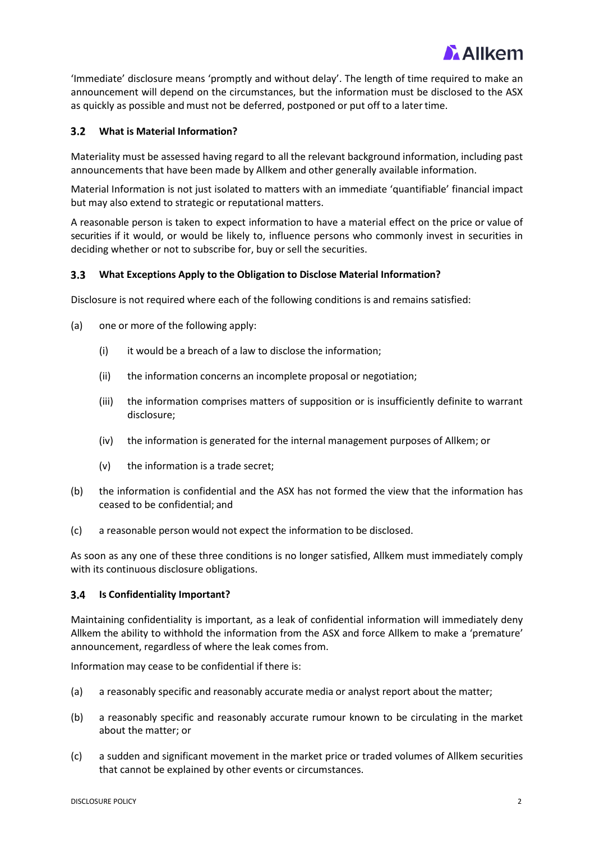

'Immediate' disclosure means 'promptly and without delay'. The length of time required to make an announcement will depend on the circumstances, but the information must be disclosed to the ASX as quickly as possible and must not be deferred, postponed or put off to a latertime.

#### $3.2$ **What is Material Information?**

Materiality must be assessed having regard to all the relevant background information, including past announcements that have been made by Allkem and other generally available information.

Material Information is not just isolated to matters with an immediate 'quantifiable' financial impact but may also extend to strategic or reputational matters.

A reasonable person is taken to expect information to have a material effect on the price or value of securities if it would, or would be likely to, influence persons who commonly invest in securities in deciding whether or not to subscribe for, buy or sell the securities.

### **What Exceptions Apply to the Obligation to Disclose Material Information?**

Disclosure is not required where each of the following conditions is and remains satisfied:

- (a) one or more of the following apply:
	- (i) it would be a breach of a law to disclose the information;
	- (ii) the information concerns an incomplete proposal or negotiation;
	- (iii) the information comprises matters of supposition or is insufficiently definite to warrant disclosure;
	- (iv) the information is generated for the internal management purposes of Allkem; or
	- (v) the information is a trade secret;
- (b) the information is confidential and the ASX has not formed the view that the information has ceased to be confidential; and
- (c) a reasonable person would not expect the information to be disclosed.

As soon as any one of these three conditions is no longer satisfied, Allkem must immediately comply with its continuous disclosure obligations.

#### $3.4$ **Is Confidentiality Important?**

Maintaining confidentiality is important, as a leak of confidential information will immediately deny Allkem the ability to withhold the information from the ASX and force Allkem to make a 'premature' announcement, regardless of where the leak comes from.

Information may cease to be confidential if there is:

- (a) a reasonably specific and reasonably accurate media or analyst report about the matter;
- (b) a reasonably specific and reasonably accurate rumour known to be circulating in the market about the matter; or
- (c) a sudden and significant movement in the market price or traded volumes of Allkem securities that cannot be explained by other events or circumstances.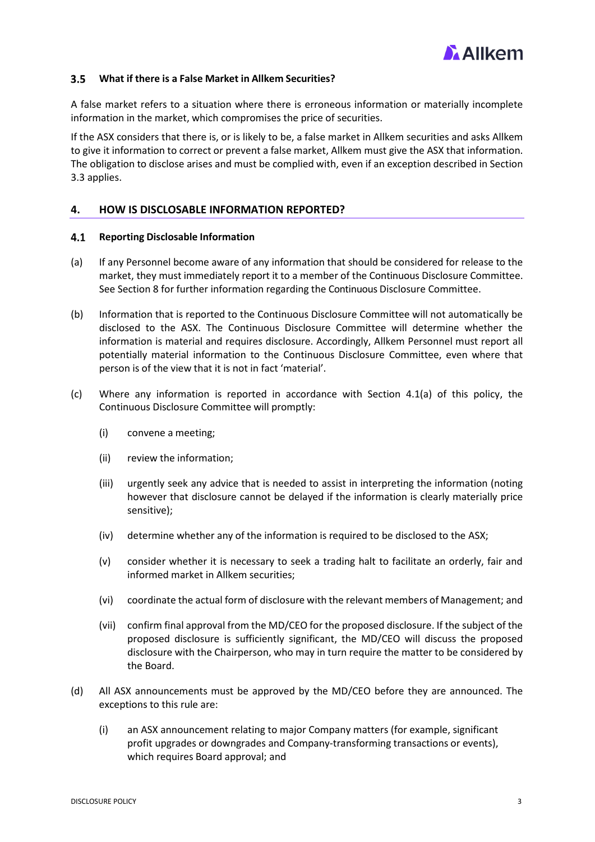

### **What if there is a False Market in Allkem Securities?**

A false market refers to a situation where there is erroneous information or materially incomplete information in the market, which compromises the price of securities.

If the ASX considers that there is, or is likely to be, a false market in Allkem securities and asks Allkem to give it information to correct or prevent a false market, Allkem must give the ASX that information. The obligation to disclose arises and must be complied with, even if an exception described in Section 3.3 applies.

### <span id="page-2-0"></span>**4. HOW IS DISCLOSABLE INFORMATION REPORTED?**

#### $4.1$ **Reporting Disclosable Information**

- (a) If any Personnel become aware of any information that should be considered for release to the market, they must immediately report it to a member of the Continuous Disclosure Committee. See Section 8 for further information regarding the Continuous Disclosure Committee.
- (b) Information that is reported to the Continuous Disclosure Committee will not automatically be disclosed to the ASX. The Continuous Disclosure Committee will determine whether the information is material and requires disclosure. Accordingly, Allkem Personnel must report all potentially material information to the Continuous Disclosure Committee, even where that person is of the view that it is not in fact 'material'.
- (c) Where any information is reported in accordance with Section 4.1(a) of this policy, the Continuous Disclosure Committee will promptly:
	- (i) convene a meeting;
	- (ii) review the information;
	- (iii) urgently seek any advice that is needed to assist in interpreting the information (noting however that disclosure cannot be delayed if the information is clearly materially price sensitive);
	- (iv) determine whether any of the information is required to be disclosed to the ASX;
	- (v) consider whether it is necessary to seek a trading halt to facilitate an orderly, fair and informed market in Allkem securities;
	- (vi) coordinate the actual form of disclosure with the relevant members of Management; and
	- (vii) confirm final approval from the MD/CEO for the proposed disclosure. If the subject of the proposed disclosure is sufficiently significant, the MD/CEO will discuss the proposed disclosure with the Chairperson, who may in turn require the matter to be considered by the Board.
- (d) All ASX announcements must be approved by the MD/CEO before they are announced. The exceptions to this rule are:
	- (i) an ASX announcement relating to major Company matters (for example, significant profit upgrades or downgrades and Company-transforming transactions or events), which requires Board approval; and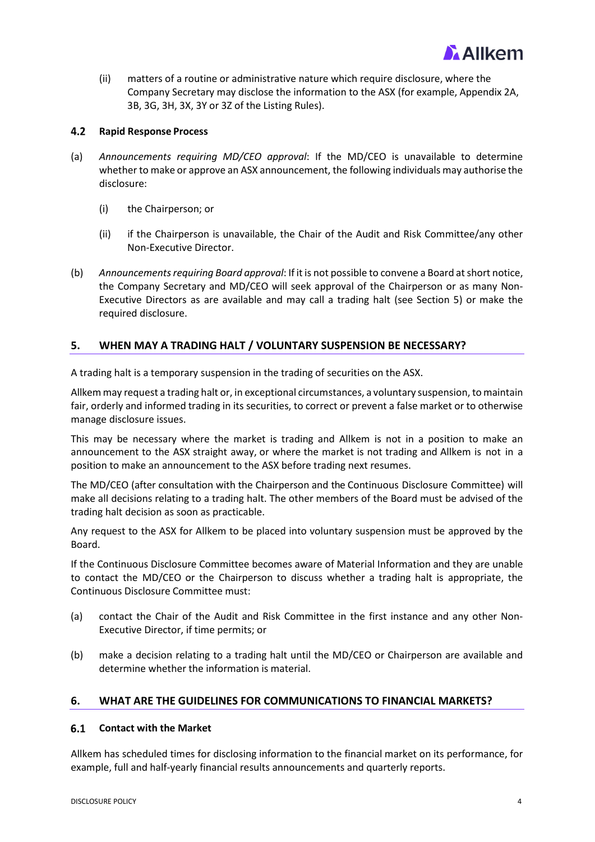

(ii) matters of a routine or administrative nature which require disclosure, where the Company Secretary may disclose the information to the ASX (for example, Appendix 2A, 3B, 3G, 3H, 3X, 3Y or 3Z of the Listing Rules).

#### $4.2$ **Rapid Response Process**

- (a) *Announcements requiring MD/CEO approval*: If the MD/CEO is unavailable to determine whether to make or approve an ASX announcement, the following individuals may authorise the disclosure:
	- (i) the Chairperson; or
	- (ii) if the Chairperson is unavailable, the Chair of the Audit and Risk Committee/any other Non-Executive Director.
- (b) *Announcements requiring Board approval*: If it is not possible to convene a Board at short notice, the Company Secretary and MD/CEO will seek approval of the Chairperson or as many Non-Executive Directors as are available and may call a trading halt (see Section 5) or make the required disclosure.

# <span id="page-3-0"></span>**5. WHEN MAY A TRADING HALT / VOLUNTARY SUSPENSION BE NECESSARY?**

A trading halt is a temporary suspension in the trading of securities on the ASX.

Allkemmay request a trading halt or, in exceptional circumstances, a voluntary suspension, tomaintain fair, orderly and informed trading in its securities, to correct or prevent a false market or to otherwise manage disclosure issues.

This may be necessary where the market is trading and Allkem is not in a position to make an announcement to the ASX straight away, or where the market is not trading and Allkem is not in a position to make an announcement to the ASX before trading next resumes.

The MD/CEO (after consultation with the Chairperson and the Continuous Disclosure Committee) will make all decisions relating to a trading halt. The other members of the Board must be advised of the trading halt decision as soon as practicable.

Any request to the ASX for Allkem to be placed into voluntary suspension must be approved by the Board.

If the Continuous Disclosure Committee becomes aware of Material Information and they are unable to contact the MD/CEO or the Chairperson to discuss whether a trading halt is appropriate, the Continuous Disclosure Committee must:

- (a) contact the Chair of the Audit and Risk Committee in the first instance and any other Non-Executive Director, if time permits; or
- (b) make a decision relating to a trading halt until the MD/CEO or Chairperson are available and determine whether the information is material.

### <span id="page-3-1"></span>**6. WHAT ARE THE GUIDELINES FOR COMMUNICATIONS TO FINANCIAL MARKETS?**

#### $6.1$ **Contact with the Market**

Allkem has scheduled times for disclosing information to the financial market on its performance, for example, full and half-yearly financial results announcements and quarterly reports.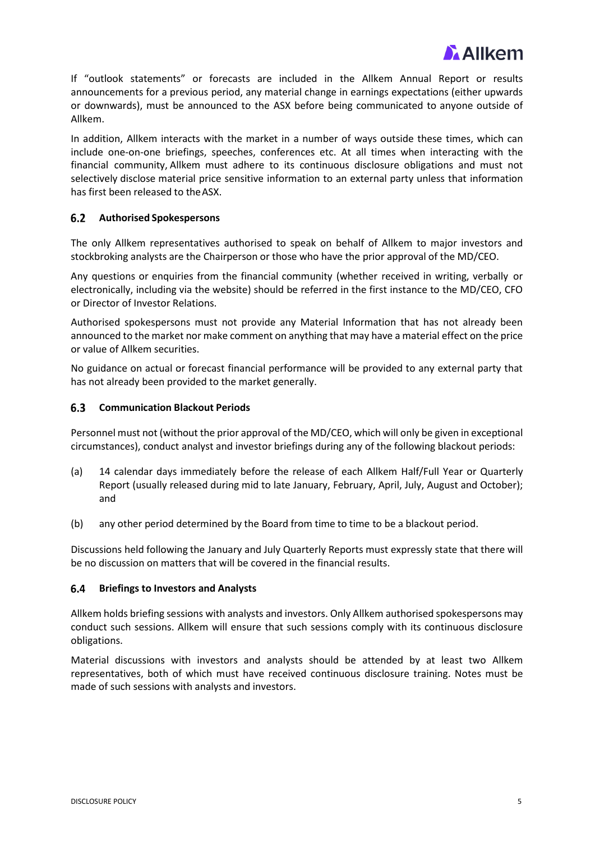

If "outlook statements" or forecasts are included in the Allkem Annual Report or results announcements for a previous period, any material change in earnings expectations (either upwards or downwards), must be announced to the ASX before being communicated to anyone outside of Allkem.

In addition, Allkem interacts with the market in a number of ways outside these times, which can include one-on-one briefings, speeches, conferences etc. At all times when interacting with the financial community, Allkem must adhere to its continuous disclosure obligations and must not selectively disclose material price sensitive information to an external party unless that information has first been released to theASX.

### **Authorised Spokespersons**

The only Allkem representatives authorised to speak on behalf of Allkem to major investors and stockbroking analysts are the Chairperson or those who have the prior approval of the MD/CEO.

Any questions or enquiries from the financial community (whether received in writing, verbally or electronically, including via the website) should be referred in the first instance to the MD/CEO, CFO or Director of Investor Relations.

Authorised spokespersons must not provide any Material Information that has not already been announced to the market nor make comment on anything that may have a material effect on the price or value of Allkem securities.

No guidance on actual or forecast financial performance will be provided to any external party that has not already been provided to the market generally.

#### $6.3$ **Communication Blackout Periods**

Personnel must not (without the prior approval of the MD/CEO, which will only be given in exceptional circumstances), conduct analyst and investor briefings during any of the following blackout periods:

- (a) 14 calendar days immediately before the release of each Allkem Half/Full Year or Quarterly Report (usually released during mid to late January, February, April, July, August and October); and
- (b) any other period determined by the Board from time to time to be a blackout period.

Discussions held following the January and July Quarterly Reports must expressly state that there will be no discussion on matters that will be covered in the financial results.

#### $6.4$ **Briefings to Investors and Analysts**

Allkem holds briefing sessions with analysts and investors. Only Allkem authorised spokespersons may conduct such sessions. Allkem will ensure that such sessions comply with its continuous disclosure obligations.

Material discussions with investors and analysts should be attended by at least two Allkem representatives, both of which must have received continuous disclosure training. Notes must be made of such sessions with analysts and investors.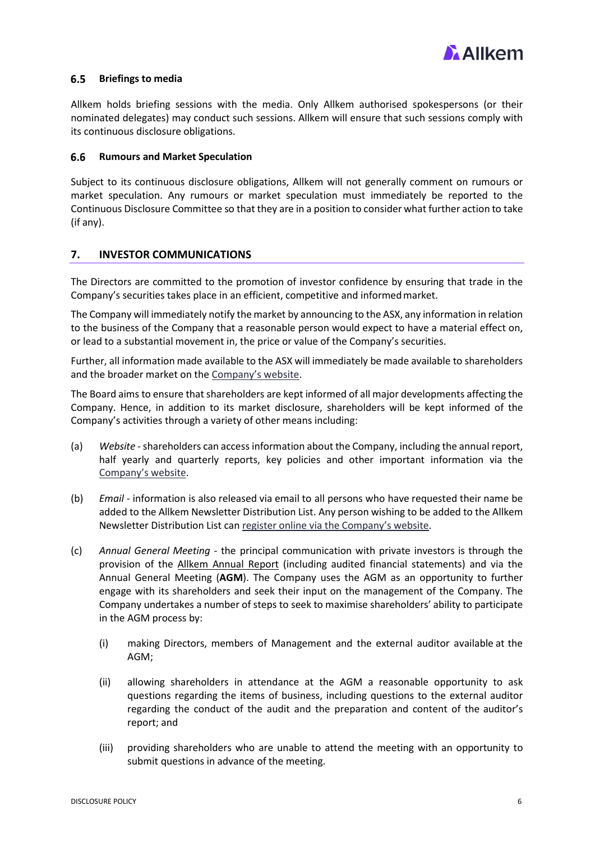

#### $6.5$ **Briefings to media**

Allkem holds briefing sessions with the media. Only Allkem authorised spokespersons (or their nominated delegates) may conduct such sessions. Allkem will ensure that such sessions comply with its continuous disclosure obligations.

#### 6.6 **Rumours and Market Speculation**

Subject to its continuous disclosure obligations, Allkem will not generally comment on rumours or market speculation. Any rumours or market speculation must immediately be reported to the Continuous Disclosure Committee so that they are in a position to consider what further action to take (if any).

# <span id="page-5-0"></span>**7. INVESTOR COMMUNICATIONS**

The Directors are committed to the promotion of investor confidence by ensuring that trade in the Company's securities takes place in an efficient, competitive and informedmarket.

The Company will immediately notify the market by announcing to the ASX, any information in relation to the business of the Company that a reasonable person would expect to have a material effect on, or lead to a substantial movement in, the price or value of the Company's securities.

Further, all information made available to the ASX will immediately be made available to shareholders and the broader market on the [Company's website.](https://www.allkem.co/investors/asx-announcements)

The Board aims to ensure that shareholders are kept informed of all major developments affecting the Company. Hence, in addition to its market disclosure, shareholders will be kept informed of the Company's activities through a variety of other means including:

- (a) *Website* shareholders can access information about the Company, including the annual report, half yearly and quarterly reports, key policies and other important information via the [Company's website.](https://www.allkem.co/)
- (b) *Email* information is also released via email to all persons who have requested their name be added to the Allkem Newsletter Distribution List. Any person wishing to be added to the Allkem Newsletter Distribution List ca[n register online via the Company's website.](https://www.allkem.co/)
- (c) *Annual General Meeting* the principal communication with private investors is through the provision of the Allkem [Annual Report](https://www.allkem.co/investors/reports-and-results) (including audited financial statements) and via the Annual General Meeting (**AGM**). The Company uses the AGM as an opportunity to further engage with its shareholders and seek their input on the management of the Company. The Company undertakes a number of steps to seek to maximise shareholders' ability to participate in the AGM process by:
	- (i) making Directors, members of Management and the external auditor available at the AGM;
	- (ii) allowing shareholders in attendance at the AGM a reasonable opportunity to ask questions regarding the items of business, including questions to the external auditor regarding the conduct of the audit and the preparation and content of the auditor's report; and
	- (iii) providing shareholders who are unable to attend the meeting with an opportunity to submit questions in advance of the meeting.